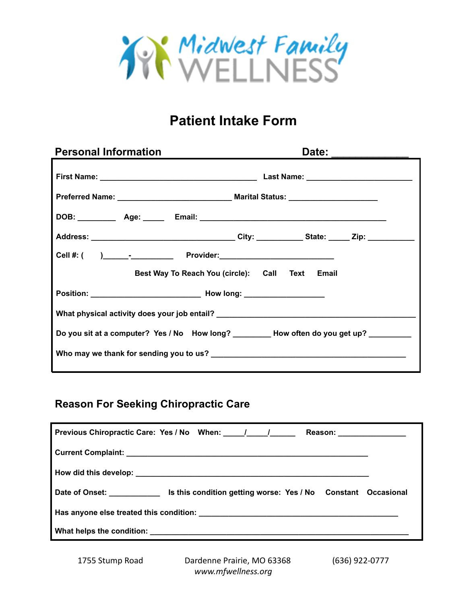

## **Patient Intake Form**

| <b>Personal Information</b>                                                             | Date: |
|-----------------------------------------------------------------------------------------|-------|
|                                                                                         |       |
|                                                                                         |       |
|                                                                                         |       |
|                                                                                         |       |
|                                                                                         |       |
| Best Way To Reach You (circle): Call Text Email                                         |       |
|                                                                                         |       |
| What physical activity does your job entail? ___________________________________        |       |
| Do you sit at a computer? Yes / No How long? _________ How often do you get up? _______ |       |
|                                                                                         |       |
|                                                                                         |       |

## **Reason For Seeking Chiropractic Care**

| Previous Chiropractic Care: Yes / No When: 11 12                                                  |  |  | Reason: _________________ |  |
|---------------------------------------------------------------------------------------------------|--|--|---------------------------|--|
|                                                                                                   |  |  |                           |  |
|                                                                                                   |  |  |                           |  |
| Date of Onset: ____________________ Is this condition getting worse: Yes / No Constant Occasional |  |  |                           |  |
|                                                                                                   |  |  |                           |  |
|                                                                                                   |  |  |                           |  |

1755 Stump Road Dardenne Prairie, MO 63368 (636) 922-0777 *www.mfwellness.org*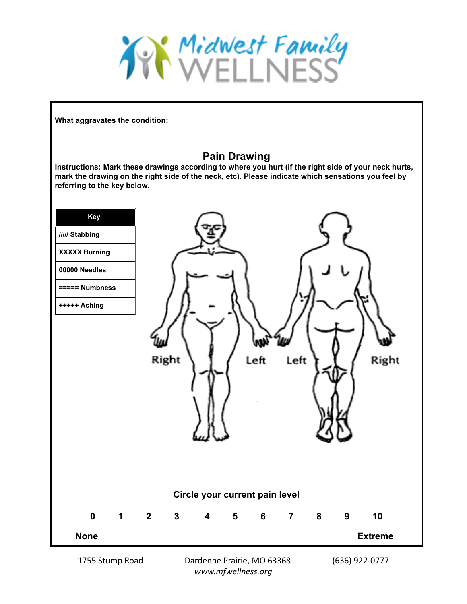

**What aggravates the condition: \_\_\_\_\_\_\_\_\_\_\_\_\_\_\_\_\_\_\_\_\_\_\_\_\_\_\_\_\_\_\_\_\_\_\_\_\_\_\_\_\_\_\_\_\_\_\_\_\_\_\_\_\_\_\_\_**

## **Pain Drawing**

**Instructions: Mark these drawings according to where you hurt (if the right side of your neck hurts, mark the drawing on the right side of the neck, etc). Please indicate which sensations you feel by referring to the key below.**



1755 Stump Road Dardenne Prairie, MO 63368 (636) 922-0777 *www.mfwellness.org*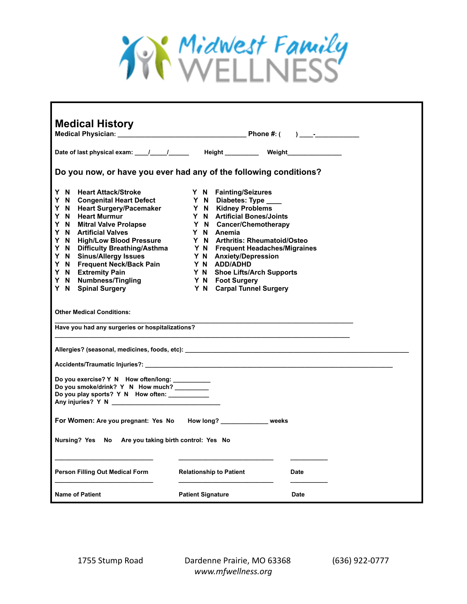

| <b>Medical History</b>                                                                                                                                                                                                                                                                          |                                |             |
|-------------------------------------------------------------------------------------------------------------------------------------------------------------------------------------------------------------------------------------------------------------------------------------------------|--------------------------------|-------------|
|                                                                                                                                                                                                                                                                                                 |                                |             |
|                                                                                                                                                                                                                                                                                                 |                                |             |
| Date of last physical exam: (a) (b) determined the Height Meight Meight Metal Metal Metal Metal Metal Metal Me                                                                                                                                                                                  |                                |             |
| Do you now, or have you ever had any of the following conditions?                                                                                                                                                                                                                               |                                |             |
|                                                                                                                                                                                                                                                                                                 |                                |             |
| Y N Heart Attack/Stroke                                                                                                                                                                                                                                                                         | Y N Fainting/Seizures          |             |
| Y N Congenital Heart Defect Y N Diabetes: Type<br>Y N Congenital Heart Defect<br>Y N Diabetes: Type ____<br>Y N Heart Surgery/Pacemaker<br>Y N Kidney Problems<br>Y N Artificial Bones/Joints<br>Y N Artificial Bones/Joints<br>Y N Artificial Bones/Joints<br>Y N Artificial Bones/Joints<br>Y |                                |             |
|                                                                                                                                                                                                                                                                                                 |                                |             |
|                                                                                                                                                                                                                                                                                                 |                                |             |
|                                                                                                                                                                                                                                                                                                 |                                |             |
|                                                                                                                                                                                                                                                                                                 |                                |             |
|                                                                                                                                                                                                                                                                                                 |                                |             |
|                                                                                                                                                                                                                                                                                                 |                                |             |
|                                                                                                                                                                                                                                                                                                 |                                |             |
|                                                                                                                                                                                                                                                                                                 |                                |             |
|                                                                                                                                                                                                                                                                                                 |                                |             |
|                                                                                                                                                                                                                                                                                                 |                                |             |
|                                                                                                                                                                                                                                                                                                 |                                |             |
| <b>Other Medical Conditions:</b>                                                                                                                                                                                                                                                                |                                |             |
|                                                                                                                                                                                                                                                                                                 |                                |             |
| Have you had any surgeries or hospitalizations?                                                                                                                                                                                                                                                 |                                |             |
|                                                                                                                                                                                                                                                                                                 |                                |             |
| Allergies? (seasonal, medicines, foods, etc):                                                                                                                                                                                                                                                   |                                |             |
|                                                                                                                                                                                                                                                                                                 |                                |             |
|                                                                                                                                                                                                                                                                                                 |                                |             |
|                                                                                                                                                                                                                                                                                                 |                                |             |
| Do you exercise? Y N How often/long: _________                                                                                                                                                                                                                                                  |                                |             |
| Do you smoke/drink? Y N How much?<br>Do you play sports? Y N How often: __________                                                                                                                                                                                                              |                                |             |
| Any injuries? Y N                                                                                                                                                                                                                                                                               |                                |             |
|                                                                                                                                                                                                                                                                                                 |                                |             |
| For Women: Are you pregnant: Yes No How long? ____________ weeks                                                                                                                                                                                                                                |                                |             |
|                                                                                                                                                                                                                                                                                                 |                                |             |
|                                                                                                                                                                                                                                                                                                 |                                |             |
| Nursing? Yes No Are you taking birth control: Yes No                                                                                                                                                                                                                                            |                                |             |
|                                                                                                                                                                                                                                                                                                 |                                |             |
|                                                                                                                                                                                                                                                                                                 |                                |             |
| Person Filling Out Medical Form                                                                                                                                                                                                                                                                 | <b>Relationship to Patient</b> | Date        |
|                                                                                                                                                                                                                                                                                                 |                                |             |
|                                                                                                                                                                                                                                                                                                 |                                |             |
| <b>Name of Patient</b>                                                                                                                                                                                                                                                                          | <b>Patient Signature</b>       | <b>Date</b> |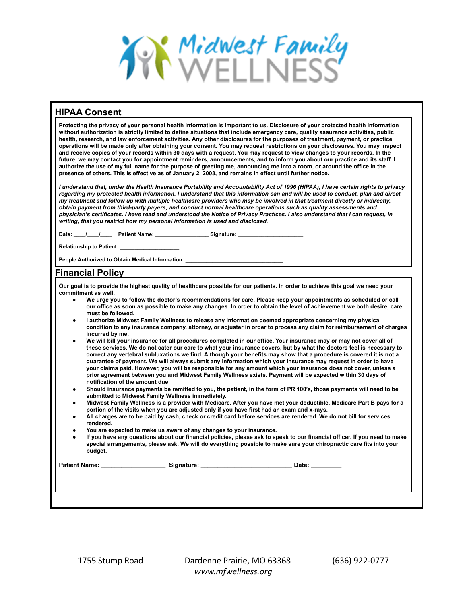

| זווי ראר שטווסט ווו                                                                                                                                                                                                                                                                                                                                                                                                                                                                                                                                                                                                                                                                                                                                                                                                                                                                                                                                                                                                                  |
|--------------------------------------------------------------------------------------------------------------------------------------------------------------------------------------------------------------------------------------------------------------------------------------------------------------------------------------------------------------------------------------------------------------------------------------------------------------------------------------------------------------------------------------------------------------------------------------------------------------------------------------------------------------------------------------------------------------------------------------------------------------------------------------------------------------------------------------------------------------------------------------------------------------------------------------------------------------------------------------------------------------------------------------|
| Protecting the privacy of your personal health information is important to us. Disclosure of your protected health information<br>without authorization is strictly limited to define situations that include emergency care, quality assurance activities, public<br>health, research, and law enforcement activities. Any other disclosures for the purposes of treatment, payment, or practice<br>operations will be made only after obtaining your consent. You may request restrictions on your disclosures. You may inspect<br>and receive copies of your records within 30 days with a request. You may request to view changes to your records. In the<br>future, we may contact you for appointment reminders, announcements, and to inform you about our practice and its staff. I<br>authorize the use of my full name for the purpose of greeting me, announcing me into a room, or around the office in the<br>presence of others. This is effective as of January 2, 2003, and remains in effect until further notice. |
| I understand that, under the Health Insurance Portability and Accountability Act of 1996 (HIPAA), I have certain rights to privacy<br>regarding my protected health information. I understand that this information can and will be used to conduct, plan and direct<br>my treatment and follow up with multiple healthcare providers who may be involved in that treatment directly or indirectly,<br>obtain payment from third-party payers, and conduct normal healthcare operations such as quality assessments and<br>physician's certificates. I have read and understood the Notice of Privacy Practices. I also understand that I can request, in<br>writing, that you restrict how my personal information is used and disclosed.                                                                                                                                                                                                                                                                                           |
|                                                                                                                                                                                                                                                                                                                                                                                                                                                                                                                                                                                                                                                                                                                                                                                                                                                                                                                                                                                                                                      |
| Relationship to Patient: ____________________                                                                                                                                                                                                                                                                                                                                                                                                                                                                                                                                                                                                                                                                                                                                                                                                                                                                                                                                                                                        |
| People Authorized to Obtain Medical Information: Department of the Control of the Control of the Control of the                                                                                                                                                                                                                                                                                                                                                                                                                                                                                                                                                                                                                                                                                                                                                                                                                                                                                                                      |
| <b>Financial Policy</b>                                                                                                                                                                                                                                                                                                                                                                                                                                                                                                                                                                                                                                                                                                                                                                                                                                                                                                                                                                                                              |
| Our goal is to provide the highest quality of healthcare possible for our patients. In order to achieve this goal we need your<br>commitment as well.<br>We urge you to follow the doctor's recommendations for care. Please keep your appointments as scheduled or call                                                                                                                                                                                                                                                                                                                                                                                                                                                                                                                                                                                                                                                                                                                                                             |

- **● We urge you to follow the doctor's recommendations for care. Please keep your appointments as scheduled or call our office as soon as possible to make any changes. In order to obtain the level of achievement we both desire, care must be followed.**
- **● I authorize Midwest Family Wellness to release any information deemed appropriate concerning my physical condition to any insurance company, attorney, or adjuster in order to process any claim for reimbursement of charges incurred by me.**
- **● We will bill your insurance for all procedures completed in our office. Your insurance may or may not cover all of these services. We do not cater our care to what your insurance covers, but by what the doctors feel is necessary to correct any vertebral subluxations we find. Although your benefits may show that a procedure is covered it is not a guarantee of payment. We will always submit any information which your insurance may request in order to have your claims paid. However, you will be responsible for any amount which your insurance does not cover, unless a prior agreement between you and Midwest Family Wellness exists. Payment will be expected within 30 days of notification of the amount due.**
- **● Should insurance payments be remitted to you, the patient, in the form of PR 100's, those payments will need to be submitted to Midwest Family Wellness immediately.**
- **● Midwest Family Wellness is a provider with Medicare. After you have met your deductible, Medicare Part B pays for a portion of the visits when you are adjusted only if you have first had an exam and x-rays.**
- **● All charges are to be paid by cash, check or credit card before services are rendered. We do not bill for services rendered.**
- **● You are expected to make us aware of any changes to your insurance.**
- **● If you have any questions about our financial policies, please ask to speak to our financial officer. If you need to make special arrangements, please ask. We will do everything possible to make sure your chiropractic care fits into your budget.**

**Patient Name: \_\_\_\_\_\_\_\_\_\_\_\_\_\_\_\_\_\_\_ Signature: \_\_\_\_\_\_\_\_\_\_\_\_\_\_\_\_\_\_\_\_\_\_\_\_\_\_\_ Date: \_\_\_\_\_\_\_\_\_**